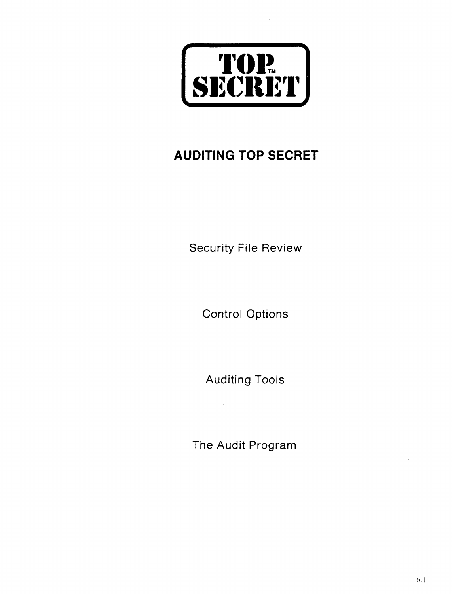

Security File Review

Control Options

Auditing Tools

 $\hat{\mathcal{L}}$ 

The Audit Program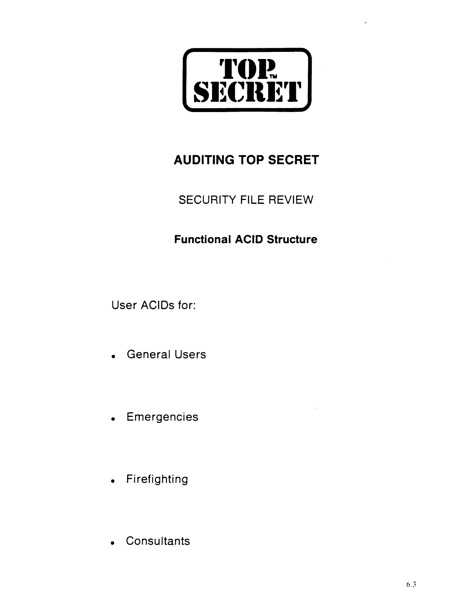

SECURITY FILE REVIEW

### Functional ACID Structure

User ACIDs for:

- General Users
- Emergencies
- Firefighting
- Consultants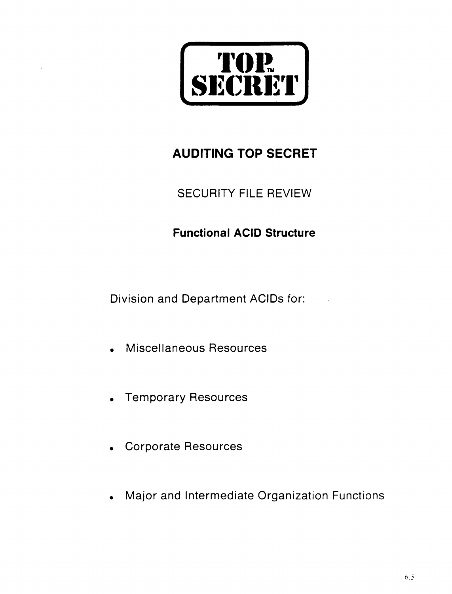

SECURITY FILE REVIEW

## **Functional** ACID **Structure**

Division and Department ACIDs for:

- Miscellaneous Resources
- Temporary Resources
- Corporate Resources
- Major and Intermediate Organization Functions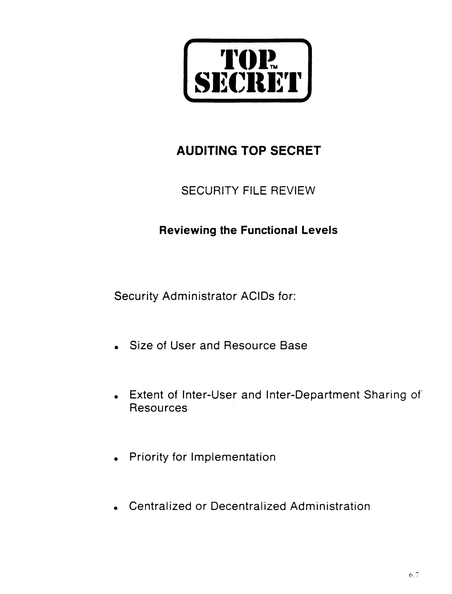

### SECURITY FILE REVIEW

### Reviewing the Functional Levels

Security Administrator ACIDs for:

- Size of User and Resource Base
- Extent of Inter-User and Inter-Department Sharing of' **Resources**
- Priority for Implementation
- Centralized or Decentralized Administration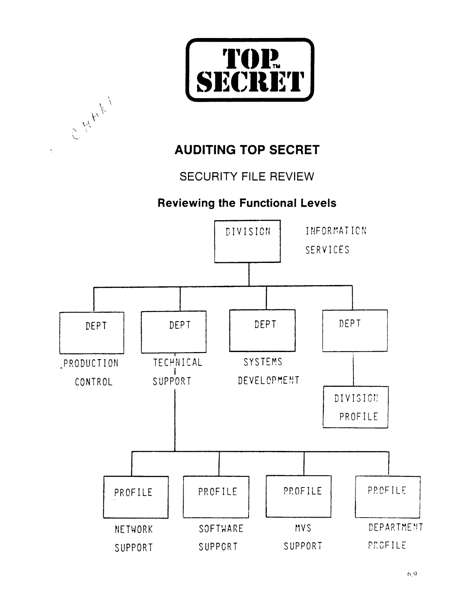

\  $\mathcal{N}$   $^+$ \<br>\<br>\<br>\  $\frac{1}{2} \sum_{i=1}^{n} \frac{1}{2} \sum_{j=1}^{n} \frac{1}{2} \sum_{j=1}^{n} \frac{1}{2} \sum_{j=1}^{n} \frac{1}{2} \sum_{j=1}^{n} \frac{1}{2} \sum_{j=1}^{n} \frac{1}{2} \sum_{j=1}^{n} \frac{1}{2} \sum_{j=1}^{n} \frac{1}{2} \sum_{j=1}^{n} \frac{1}{2} \sum_{j=1}^{n} \frac{1}{2} \sum_{j=1}^{n} \frac{1}{2} \sum_{j=1}^{n} \frac{1}{2} \sum_{j=1}^{n$ 

#### SECURITY FILE REVIEW

#### Reviewing the Functional Levels

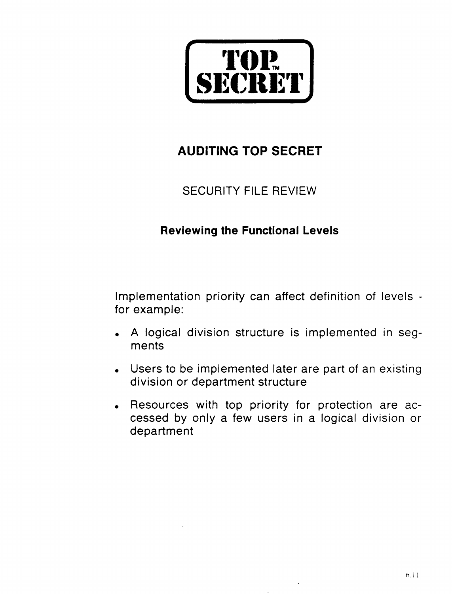

#### SECURITY FILE REVIEW

### **Reviewing the Functional Levels**

Implementation priority can affect definition of levels for example:

- A logical division structure is implemented in segments
- Users to be implemented later are part of an existing division or department structure
- Resources with top priority for protection are accessed by only a few users in a logical division or department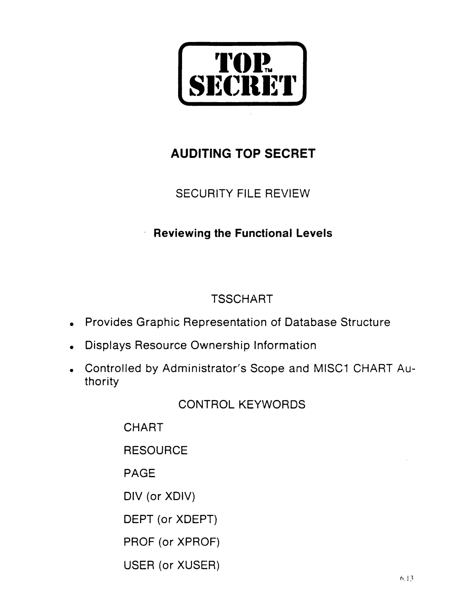

### SECURITY FILE REVIEW

### . Reviewing the Functional Levels

### **TSSCHART**

- Provides Graphic Representation of Database Structure
- Displays Resource Ownership Information
- Controlled by Administrator's Scope and MISC1 CHART Authority

CONTROL KEYWORDS

CHART

**RESOURCE** 

PAGE

DIV (or XDIV)

DEPT (or XDEPT)

PROF (or XPROF)

USER (or XUSER)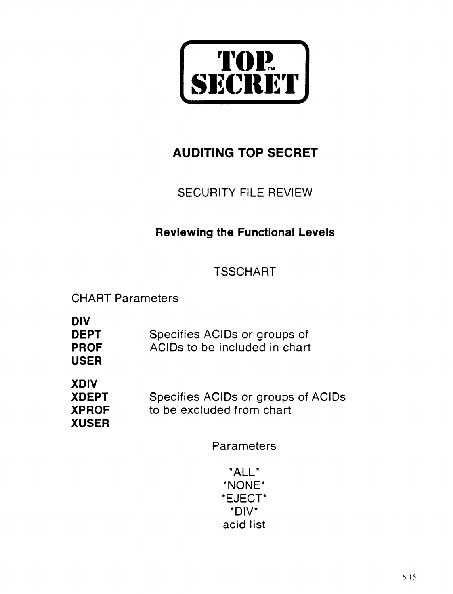

### SECURITY FILE REVIEW

### Reviewing the Functional Levels

### **TSSCHART**

CHART Parameters

| DIV         |  |
|-------------|--|
| <b>DEPT</b> |  |

| <b>DEPT</b> | Specifies ACIDs or groups of  |
|-------------|-------------------------------|
| <b>PROF</b> | ACIDs to be included in chart |

USER XDIV

| <b>XDEPT</b> | Specifies ACIDs or groups of ACIDs |
|--------------|------------------------------------|
| YDDAE        | to he evoluded from chart          |

XPROF XUSER to be excluded from chart

Parameters

\*ALL\* \*NONE\* \*EJECT\* \*DIV\* acid list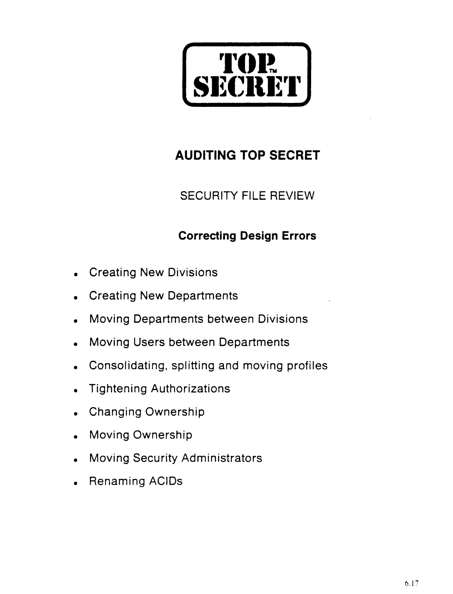

### SECURITY FILE REVIEW

## Correcting Design Errors

- Creating New Divisions
- Creating New Departments
- Moving Departments between Divisions
- Moving Users between Departments
- Consolidating, splitting and moving profiles
- Tightening Authorizations
- Changing Ownership
- Moving Ownership
- Moving Security Administrators
- Renaming ACIDs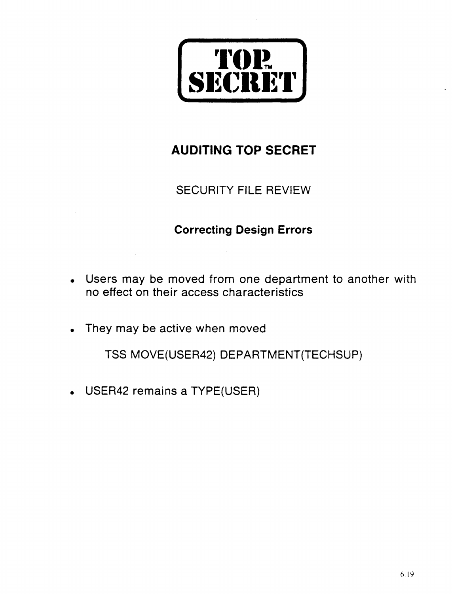

#### SECURITY FILE REVIEW

#### Correcting Design Errors

- Users may be moved from one department to another with no effect on their access characteristics
- They may be active when moved

TSS MOVE(USER42) DEPARTMENT(TECHSUP)

USER42 remains a TYPE(USER)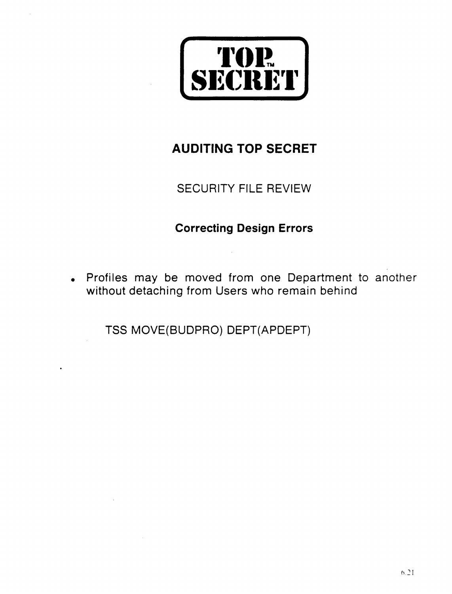

#### SECURITY FILE REVIEW

#### Correcting Design Errors

• Profiles may be moved from one Department to another without detaching from Users who remain behind

TSS MOVE(BUDPRO) DEPT(APDEPT)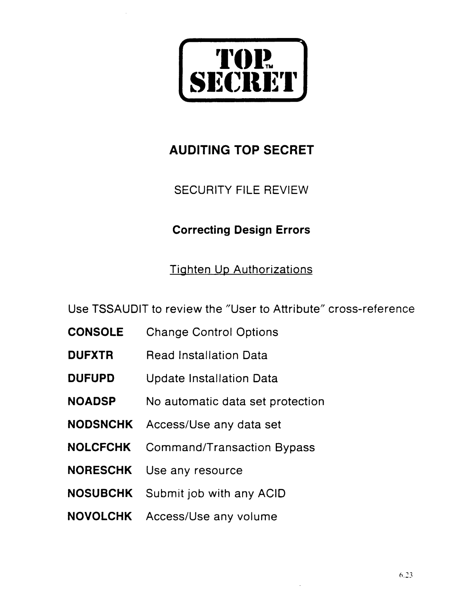

### SECURITY FILE REVIEW

### Correcting Design Errors

Tighten Up Authorizations

Use TSSAUDIT to review the "User to Attribute" cross-reference

- CONSOLE Change Control Options
- **DUFXTR** Read Installation Data
- **DUFUPD** Update Installation Data
- NOADSP No automatic data set protection
- NODSNCHK Access/Use any data set
- NOLCFCHK Command/Transaction Bypass
- NORESCHK Use any resource
- NOSUBCHK Submit job with any ACID
- NOVOLCHK Access/Use any volume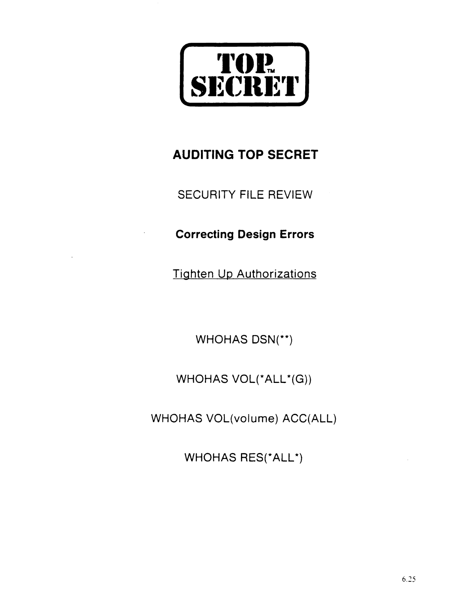

SECURITY FILE REVIEW

Correcting Design Errors

Tighten Up Authorizations

WHOHAS DSN(\*\*)

WHOHAS VOL(\*ALL\*(G))

WHOHAS VOL(volume) ACC(ALL)

WHOHAS RES(\*ALL\*)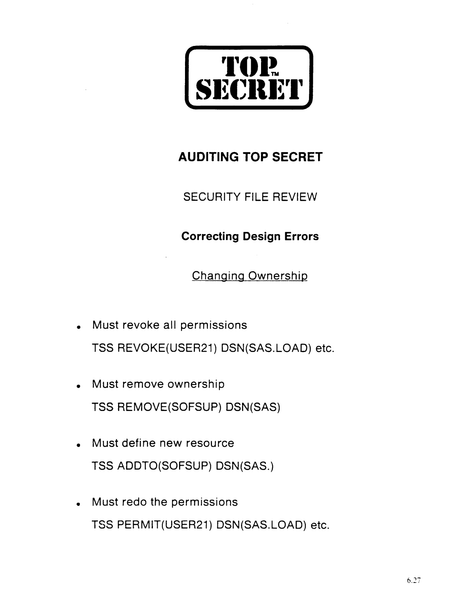

SECURITY **FILE** REVIEW

## **Correcting Design Errors**

**Changing Ownership**

- **• Must revoke all permissions** TSS REVOKE(USER21) DSN(SAS.LOAD) **etc.**
- **• Must remove ownership** TSS REMOVE(SOFSUP) DSN(SAS)
- **• Must define new resource** TSS ADDTO(SOFSUP) DSN(SAS.)
- **• Must redo the permissions** TSS PERMIT(USER21) DSN(SAS.LOAD) **etc.**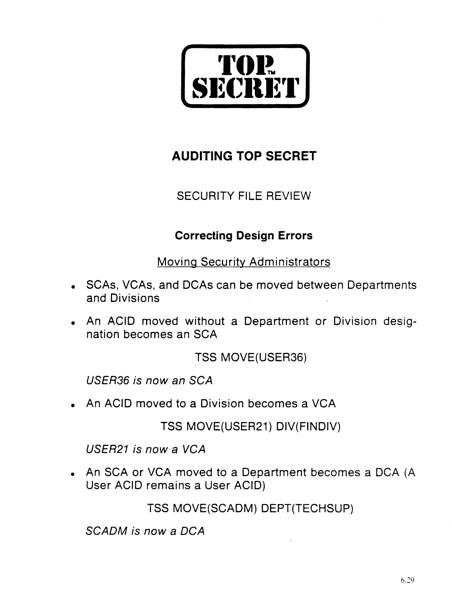

SECURITY FILE REVIEW

### Correcting Design Errors

Moving Security Administrators

- SCAs, VCAs, and DCAs can be moved between Departments and Divisions
- An ACID moved without a Department or Division designation becomes an SCA

TSS MOVE(USER36)

USER36 is now an SCA

• An ACID moved to a Division becomes a VCA

TSS MOVE(USER21) DIV(FINDIV)

USER21 is now a VCA

• An SCA or VCA moved to a Department becomes a DCA (A User ACID remains a User ACID)

TSS MOVE(SCADM) DEPT(TECHSUP)

SCADM is now a DCA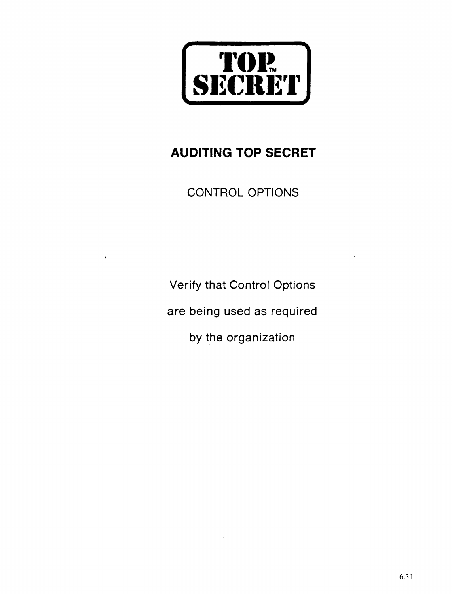

CONTROL OPTIONS

Verity **that Control Options are being used as required by** the organization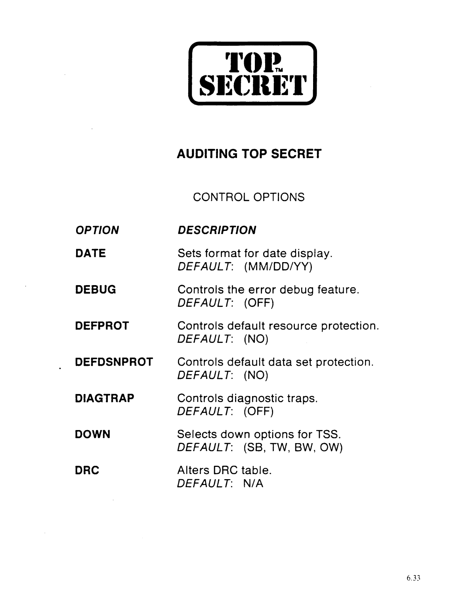

 $\bar{z}$ 

 $\sim$ 

# **AUDITING TOP SECRET**

| <b>OPTION</b>     | <b>DESCRIPTION</b>                                             |
|-------------------|----------------------------------------------------------------|
| <b>DATE</b>       | Sets format for date display.<br>DEFAULT: (MM/DD/YY)           |
| <b>DEBUG</b>      | Controls the error debug feature.<br>DEFAULT: (OFF)            |
| <b>DEFPROT</b>    | Controls default resource protection.<br><i>DEFAULT</i> : (NO) |
| <b>DEFDSNPROT</b> | Controls default data set protection.<br>DEFAULT: (NO)         |
| <b>DIAGTRAP</b>   | Controls diagnostic traps.<br>DEFAULT: (OFF)                   |
| <b>DOWN</b>       | Selects down options for TSS.<br>DEFAULT: (SB, TW, BW, OW)     |
| <b>DRC</b>        | Alters DRC table.<br>DEFAULT: N/A                              |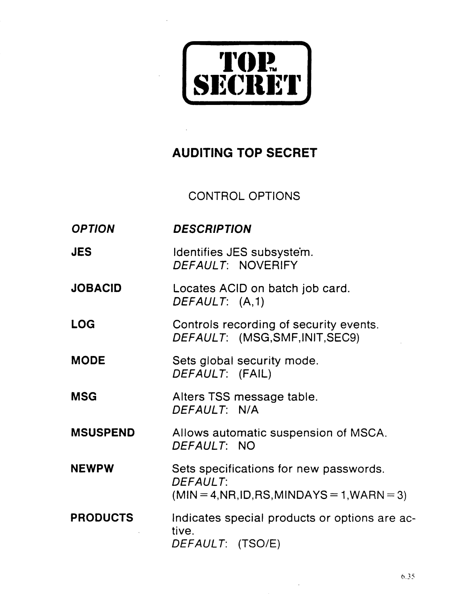

| <b>OPTION</b>   | <b>DESCRIPTION</b>                                                                                   |
|-----------------|------------------------------------------------------------------------------------------------------|
| <b>JES</b>      | Identifies JES subsystem.<br>DEFAULT: NOVERIFY                                                       |
| <b>JOBACID</b>  | Locates ACID on batch job card.<br>DEFAULT: (A,1)                                                    |
| <b>LOG</b>      | Controls recording of security events.<br>DEFAULT: (MSG, SMF, INIT, SEC9)                            |
| <b>MODE</b>     | Sets global security mode.<br>DEFAULT: (FAIL)                                                        |
| <b>MSG</b>      | Alters TSS message table.<br>DEFAULT: N/A                                                            |
| <b>MSUSPEND</b> | Allows automatic suspension of MSCA.<br>DEFAULT: NO                                                  |
| <b>NEWPW</b>    | Sets specifications for new passwords.<br>DEFAULT:<br>$(MIN = 4, NR, ID, RS, MINDAYS = 1, WARN = 3)$ |
| <b>PRODUCTS</b> | Indicates special products or options are ac-<br>tive.<br>DEFAULT: (TSO/E)                           |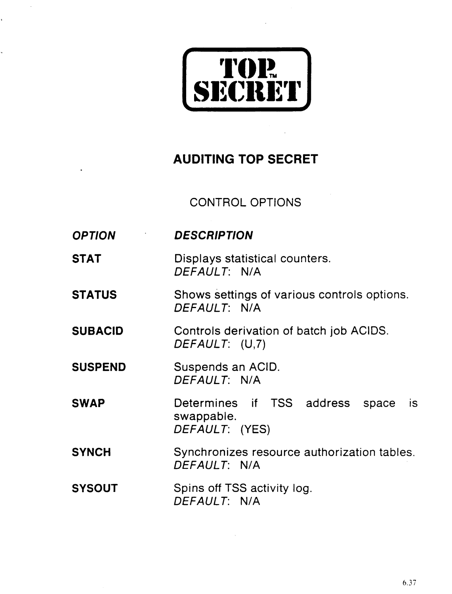

| <b>OPTION</b>  | <b>DESCRIPTION</b>                                                                   |
|----------------|--------------------------------------------------------------------------------------|
| <b>STAT</b>    | Displays statistical counters.<br>DEFAULT: N/A                                       |
| <b>STATUS</b>  | Shows settings of various controls options.<br>DEFAULT: N/A                          |
| <b>SUBACID</b> | Controls derivation of batch job ACIDS.<br>DEFAULT: (U,7)                            |
| <b>SUSPEND</b> | Suspends an ACID.<br>DEFAULT: N/A                                                    |
| <b>SWAP</b>    | Determines if TSS address space<br><b>is</b><br>swappable.<br><i>DEFAULT</i> : (YES) |
| <b>SYNCH</b>   | Synchronizes resource authorization tables.<br>DEFAULT: N/A                          |
| <b>SYSOUT</b>  | Spins off TSS activity log.<br>DEFAULT: N/A                                          |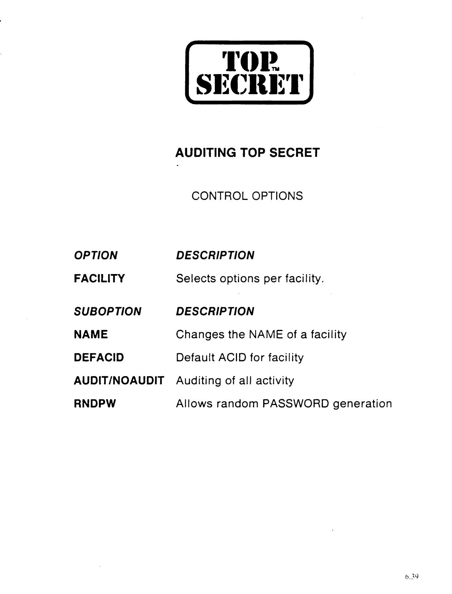

| <b>OPTION</b>        | <i><b>DESCRIPTION</b></i>         |
|----------------------|-----------------------------------|
| <b>FACILITY</b>      | Selects options per facility.     |
| <b>SUBOPTION</b>     | <b>DESCRIPTION</b>                |
| <b>NAME</b>          | Changes the NAME of a facility    |
| <b>DEFACID</b>       | Default ACID for facility         |
| <b>AUDIT/NOAUDIT</b> | Auditing of all activity          |
| <b>RNDPW</b>         | Allows random PASSWORD generation |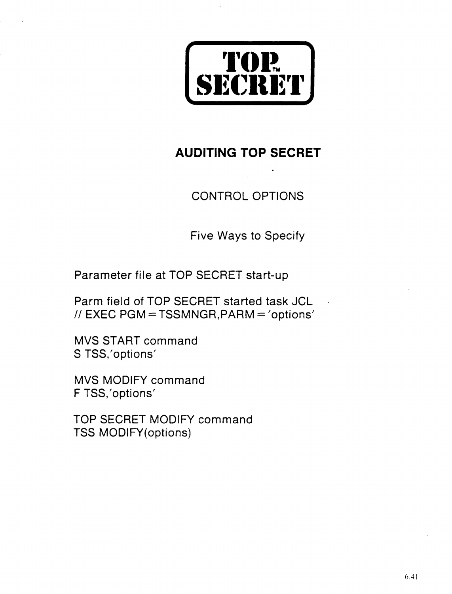

CONTROL OPTIONS

Five Ways to Specify

Parameter file at TOP SECRET start-up

Parm field of TOP SECRET started task JCL *II* EXEC PGM = TSSMNGR, PARM = 'options'

MVS START command S TSS,'options'

MVS MODIFY command F TSS,'options'

TOP SECRET MODIFY command TSS MODIFY(options)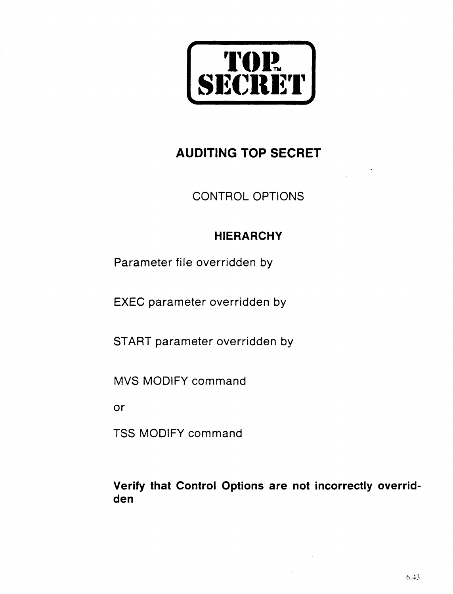

CONTROL OPTIONS

### **HIERARCHY**

**Parameter fi Ie overridden by**

EXEC **parameter overridden by**

START **parameter overridden by**

MVS MODIFY **command**

**or**

TSS MODIFY **command**

**Verify that Control Options are not incorrectly overridden**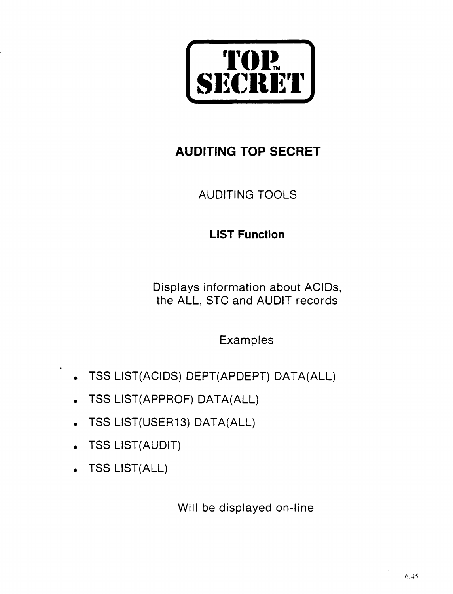

AUDITING TOOLS

### LIST Function

Displays information about ACIDs, the ALL, STC and AUDIT records

#### Examples

- TSS LIST(ACIDS) DEPT(APDEPT) OATA(ALL)
- TSS LIST(APPROF) DATA(ALL)
- TSS LIST(USER 13) DATA(ALL)
- TSS LIST(AUDIT)
- TSS LIST(ALL)

Will be displayed on-line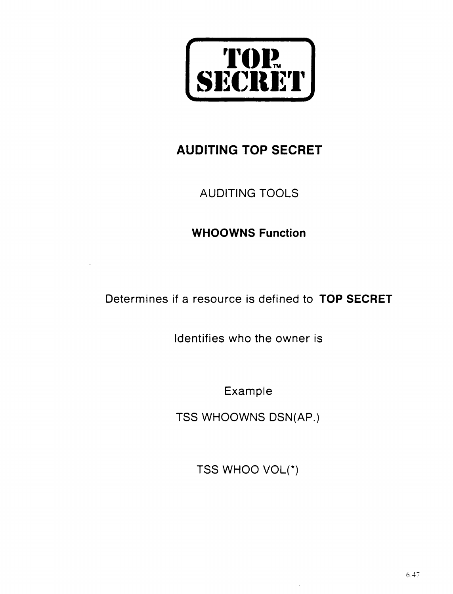

AUDITING TOOLS

### **WHOOWNS Function**

**Determines if a resource is defined to TOP SECRET**

**Identifies who the owner is**

**Example**

TSS WHOOWNS DSN(AP.)

TSS WHOO VOL(\*)

 $\bar{\nu}$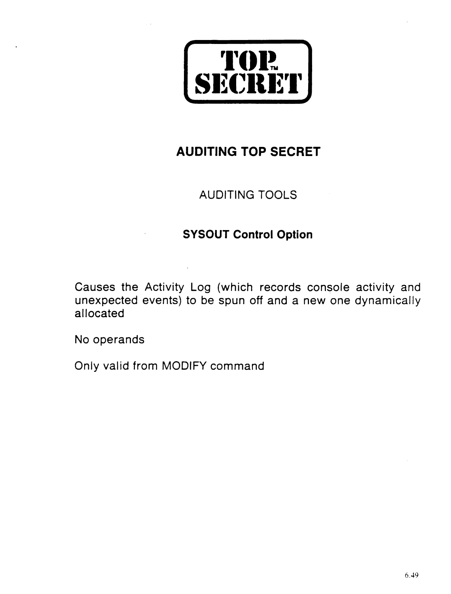

AUDITING TOOLS

#### SYSOUT Control Option

Causes the Activity Log (which records console activity and unexpected events) to be spun off and a new one dynamically allocated

No operands

Only valid from MODIFY command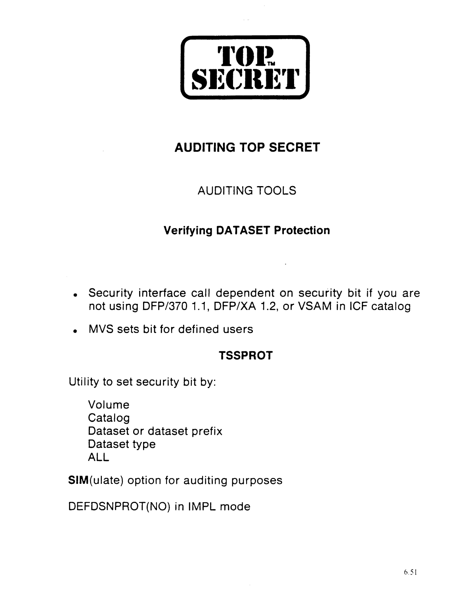

### AUDITING TOOLS

### Verifying DATASET Protection

- Security interface call dependent on security bit if you are not using DFP/370 1.1, DFP/XA 1.2, or VSAM in ICF catalog
- MVS sets bit for defined users

#### TSSPROT

Utility to set security bit by:

Volume Catalog Dataset or dataset prefix Dataset type ALL

SIM(ulate) option for auditing purposes

DEFDSNPROT(NO) in IMPL mode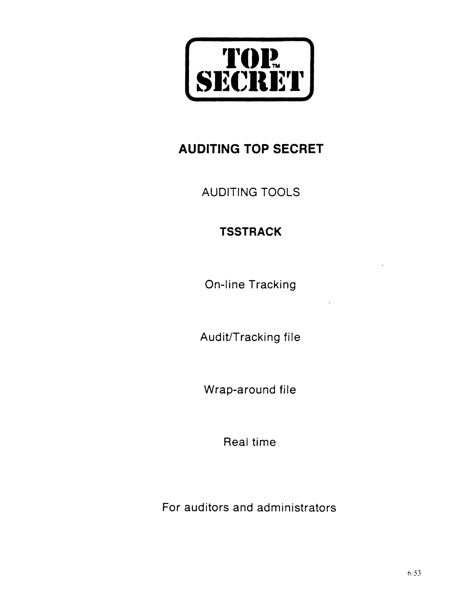

AUDITING TOOLS

## **TSSTRACK**

On-line Tracking

Audit/Tracking file

Wrap-around file

Real time

For auditors and administrators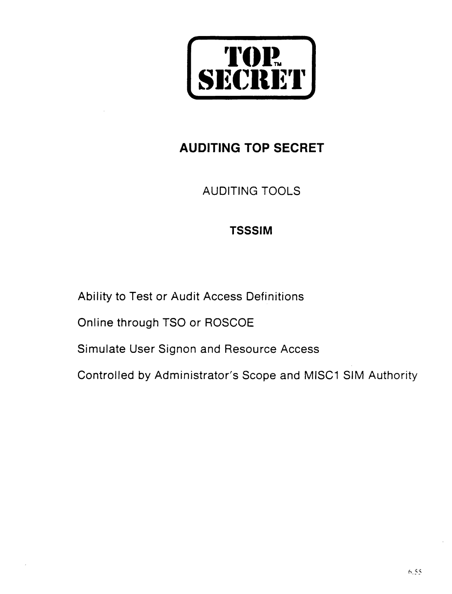

AUDITING TOOLS

### **TSSSIM**

**Ability to Test or Audit Access Definitions**

**Online through** TSO **or** ROSCOE

**Simulate User Signon and Resource Access**

**Controlled by Administrator's Scope and** MISC1 SIM **Authority**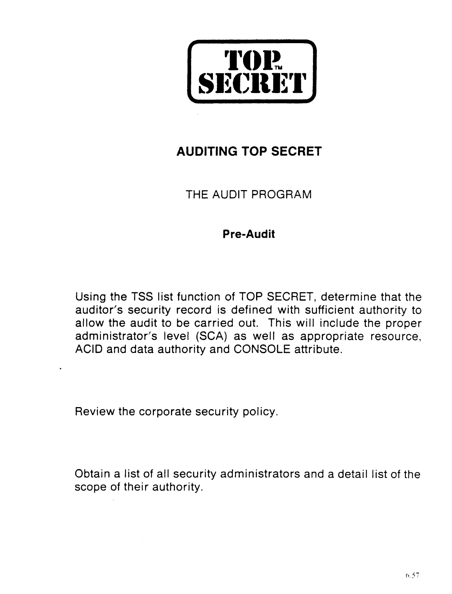

THE AUDIT PROGRAM

#### Pre-Audit

Using the TSS list function of TOP SECRET, determine that the auditor's security record is defined with sufficient authority to allow the audit to be carried out. This will include the proper administrator's level (SCA) as well as appropriate resource, ACID and data authority and CONSOLE attribute.

Review the corporate security policy.

Obtain a list of all security administrators and a detail list of the scope of their authority.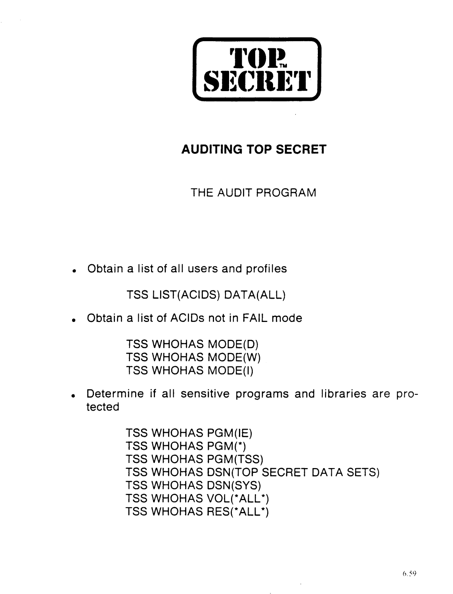

THE AUDIT PROGRAM

• Obtain a list of all users and profiles

TSS LIST(ACIDS) DATA(ALL)

• Obtain a list of ACIDs not in FAIL mode

TSS WHOHAS MODE(D) TSS WHOHAS MODE(W) TSS WHOHAS MODE(I)

• Determine if all sensitive programs and libraries are protected

> TSS WHOHAS PGM(IE) TSS WHOHAS PGM(\*) TSS WHOHAS PGM(TSS) TSS WHOHAS DSN(TOP SECRET DATA SETS) TSS WHOHAS DSN(SYS) TSS WHOHAS VOL(\*ALL\*) TSS WHOHAS RES(\*ALL\*)